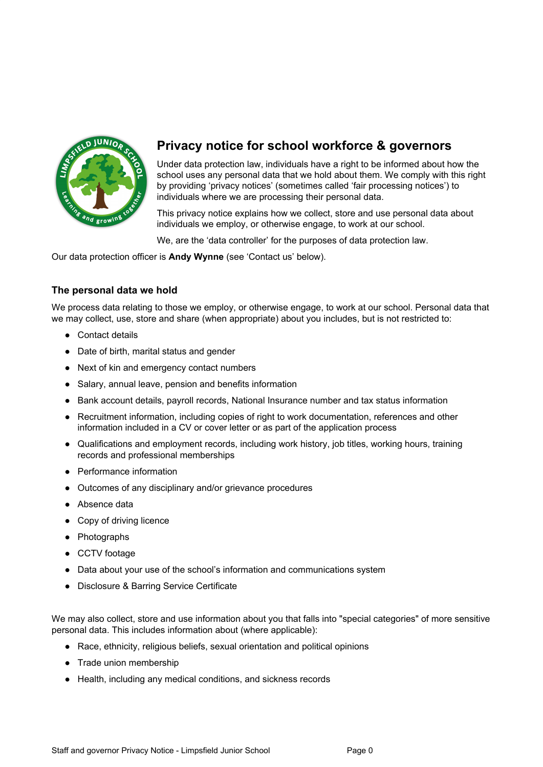

# **Privacy notice for school workforce & governors**

Under data protection law, individuals have a right to be informed about how the school uses any personal data that we hold about them. We comply with this right by providing 'privacy notices' (sometimes called 'fair processing notices') to individuals where we are processing their personal data.

This privacy notice explains how we collect, store and use personal data about individuals we employ, or otherwise engage, to work at our school.

We, are the 'data controller' for the purposes of data protection law.

Our data protection officer is **Andy Wynne** (see 'Contact us' below).

# **The personal data we hold**

We process data relating to those we employ, or otherwise engage, to work at our school. Personal data that we may collect, use, store and share (when appropriate) about you includes, but is not restricted to:

- Contact details
- Date of birth, marital status and gender
- Next of kin and emergency contact numbers
- Salary, annual leave, pension and benefits information
- Bank account details, payroll records, National Insurance number and tax status information
- Recruitment information, including copies of right to work documentation, references and other information included in a CV or cover letter or as part of the application process
- Qualifications and employment records, including work history, job titles, working hours, training records and professional memberships
- Performance information
- Outcomes of any disciplinary and/or grievance procedures
- Absence data
- Copy of driving licence
- Photographs
- CCTV footage
- Data about your use of the school's information and communications system
- Disclosure & Barring Service Certificate

We may also collect, store and use information about you that falls into "special categories" of more sensitive personal data. This includes information about (where applicable):

- Race, ethnicity, religious beliefs, sexual orientation and political opinions
- Trade union membership
- Health, including any medical conditions, and sickness records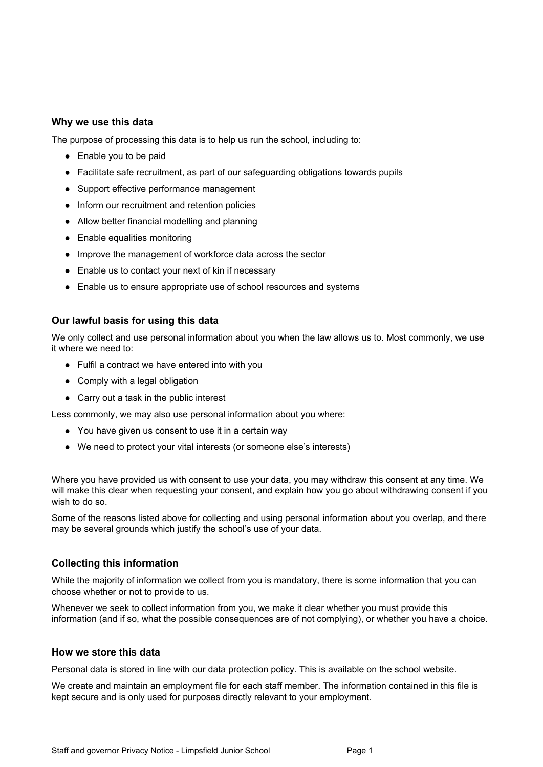# **Why we use this data**

The purpose of processing this data is to help us run the school, including to:

- Enable you to be paid
- Facilitate safe recruitment, as part of our safeguarding obligations towards pupils
- Support effective performance management
- Inform our recruitment and retention policies
- Allow better financial modelling and planning
- Enable equalities monitoring
- Improve the management of workforce data across the sector
- Enable us to contact your next of kin if necessary
- Enable us to ensure appropriate use of school resources and systems

# **Our lawful basis for using this data**

We only collect and use personal information about you when the law allows us to. Most commonly, we use it where we need to:

- Fulfil a contract we have entered into with you
- Comply with a legal obligation
- Carry out a task in the public interest

Less commonly, we may also use personal information about you where:

- You have given us consent to use it in a certain way
- We need to protect your vital interests (or someone else's interests)

Where you have provided us with consent to use your data, you may withdraw this consent at any time. We will make this clear when requesting your consent, and explain how you go about withdrawing consent if you wish to do so.

Some of the reasons listed above for collecting and using personal information about you overlap, and there may be several grounds which justify the school's use of your data.

### **Collecting this information**

While the majority of information we collect from you is mandatory, there is some information that you can choose whether or not to provide to us.

Whenever we seek to collect information from you, we make it clear whether you must provide this information (and if so, what the possible consequences are of not complying), or whether you have a choice.

#### **How we store this data**

Personal data is stored in line with our data protection policy. This is available on the school website.

We create and maintain an employment file for each staff member. The information contained in this file is kept secure and is only used for purposes directly relevant to your employment.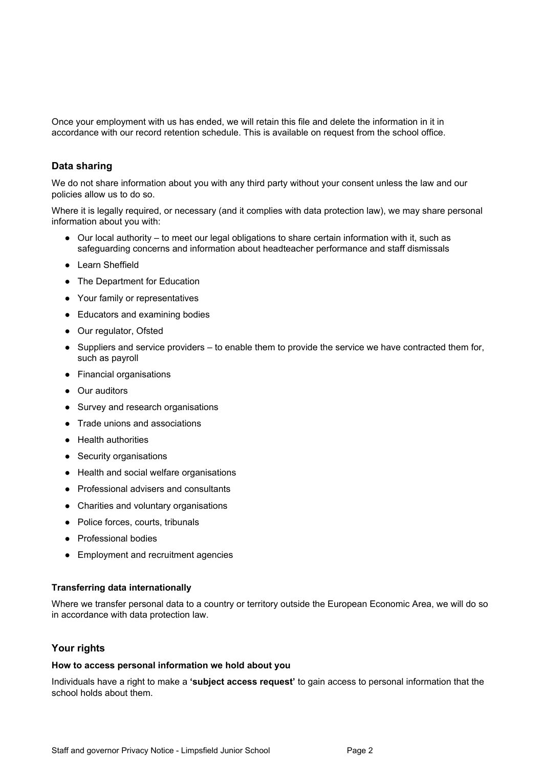Once your employment with us has ended, we will retain this file and delete the information in it in accordance with our record retention schedule. This is available on request from the school office.

# **Data sharing**

We do not share information about you with any third party without your consent unless the law and our policies allow us to do so.

Where it is legally required, or necessary (and it complies with data protection law), we may share personal information about you with:

- Our local authority to meet our legal obligations to share certain information with it, such as safeguarding concerns and information about headteacher performance and staff dismissals
- Learn Sheffield
- The Department for Education
- Your family or representatives
- Educators and examining bodies
- Our regulator, Ofsted
- Suppliers and service providers to enable them to provide the service we have contracted them for, such as payroll
- Financial organisations
- Our auditors
- Survey and research organisations
- Trade unions and associations
- Health authorities
- Security organisations
- Health and social welfare organisations
- Professional advisers and consultants
- Charities and voluntary organisations
- Police forces, courts, tribunals
- Professional bodies
- Employment and recruitment agencies

### **Transferring data internationally**

Where we transfer personal data to a country or territory outside the European Economic Area, we will do so in accordance with data protection law.

### **Your rights**

#### **How to access personal information we hold about you**

Individuals have a right to make a **'subject access request'** to gain access to personal information that the school holds about them.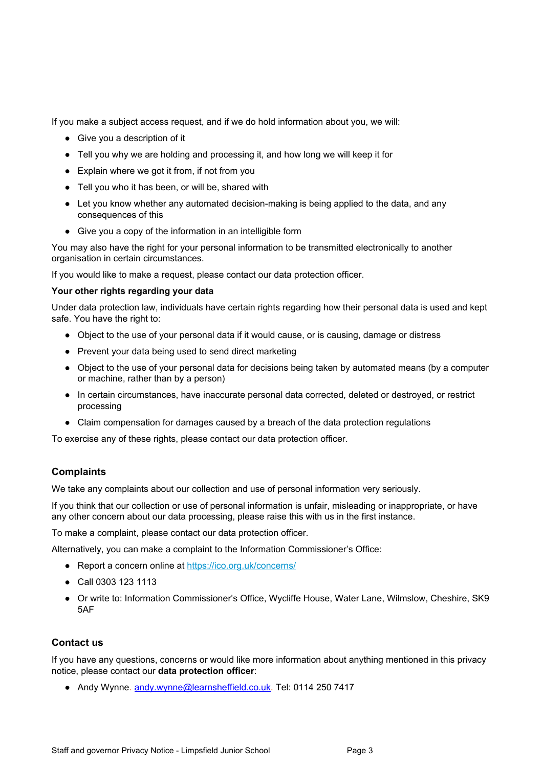If you make a subject access request, and if we do hold information about you, we will:

- Give you a description of it
- Tell you why we are holding and processing it, and how long we will keep it for
- Explain where we got it from, if not from you
- Tell you who it has been, or will be, shared with
- Let you know whether any automated decision-making is being applied to the data, and any consequences of this
- Give you a copy of the information in an intelligible form

You may also have the right for your personal information to be transmitted electronically to another organisation in certain circumstances.

If you would like to make a request, please contact our data protection officer.

### **Your other rights regarding your data**

Under data protection law, individuals have certain rights regarding how their personal data is used and kept safe. You have the right to:

- Object to the use of your personal data if it would cause, or is causing, damage or distress
- Prevent your data being used to send direct marketing
- Object to the use of your personal data for decisions being taken by automated means (by a computer or machine, rather than by a person)
- In certain circumstances, have inaccurate personal data corrected, deleted or destroyed, or restrict processing
- Claim compensation for damages caused by a breach of the data protection regulations

To exercise any of these rights, please contact our data protection officer.

# **Complaints**

We take any complaints about our collection and use of personal information very seriously.

If you think that our collection or use of personal information is unfair, misleading or inappropriate, or have any other concern about our data processing, please raise this with us in the first instance.

To make a complaint, please contact our data protection officer.

Alternatively, you can make a complaint to the Information Commissioner's Office:

- Report a concern online at <https://ico.org.uk/concerns/>
- Call 0303 123 1113
- Or write to: Information Commissioner's Office, Wycliffe House, Water Lane, Wilmslow, Cheshire, SK9 5AF

### **Contact us**

If you have any questions, concerns or would like more information about anything mentioned in this privacy notice, please contact our **data protection officer**:

● Andy Wynne. [andy.wynne@learnsheffield.co.uk](mailto:andy.wynne@learnsheffield.co.uk). Tel: 0114 250 7417